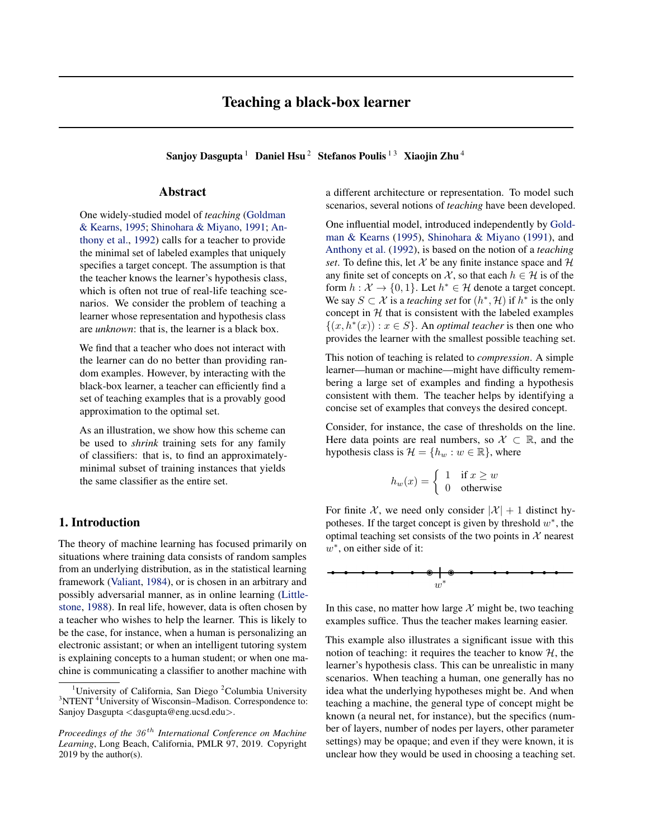<span id="page-0-0"></span>Sanjoy Dasgupta<sup>1</sup> Daniel Hsu<sup>2</sup> Stefanos Poulis<sup>13</sup> Xiaojin Zhu<sup>4</sup>

# Abstract

One widely-studied model of *teaching* [\(Goldman](#page-8-0) [& Kearns,](#page-8-0) [1995;](#page-8-0) [Shinohara & Miyano,](#page-8-0) [1991;](#page-8-0) [An](#page-8-0)[thony et al.,](#page-8-0) [1992\)](#page-8-0) calls for a teacher to provide the minimal set of labeled examples that uniquely specifies a target concept. The assumption is that the teacher knows the learner's hypothesis class, which is often not true of real-life teaching scenarios. We consider the problem of teaching a learner whose representation and hypothesis class are *unknown*: that is, the learner is a black box.

We find that a teacher who does not interact with the learner can do no better than providing random examples. However, by interacting with the black-box learner, a teacher can efficiently find a set of teaching examples that is a provably good approximation to the optimal set.

As an illustration, we show how this scheme can be used to *shrink* training sets for any family of classifiers: that is, to find an approximatelyminimal subset of training instances that yields the same classifier as the entire set.

# 1. Introduction

The theory of machine learning has focused primarily on situations where training data consists of random samples from an underlying distribution, as in the statistical learning framework [\(Valiant,](#page-8-0) [1984\)](#page-8-0), or is chosen in an arbitrary and possibly adversarial manner, as in online learning [\(Little](#page-8-0)[stone,](#page-8-0) [1988\)](#page-8-0). In real life, however, data is often chosen by a teacher who wishes to help the learner. This is likely to be the case, for instance, when a human is personalizing an electronic assistant; or when an intelligent tutoring system is explaining concepts to a human student; or when one machine is communicating a classifier to another machine with a different architecture or representation. To model such scenarios, several notions of *teaching* have been developed.

One influential model, introduced independently by [Gold](#page-8-0)[man & Kearns](#page-8-0) [\(1995\)](#page-8-0), [Shinohara & Miyano](#page-8-0) [\(1991\)](#page-8-0), and [Anthony et al.](#page-8-0) [\(1992\)](#page-8-0), is based on the notion of a *teaching set*. To define this, let  $X$  be any finite instance space and  $H$ any finite set of concepts on X, so that each  $h \in \mathcal{H}$  is of the form  $h: \mathcal{X} \to \{0, 1\}$ . Let  $h^* \in \mathcal{H}$  denote a target concept. We say  $S \subset \mathcal{X}$  is a *teaching set* for  $(h^*, \mathcal{H})$  if  $h^*$  is the only concept in  $H$  that is consistent with the labeled examples  $\{(x, h^*(x)) : x \in S\}$ . An *optimal teacher* is then one who provides the learner with the smallest possible teaching set.

This notion of teaching is related to *compression*. A simple learner—human or machine—might have difficulty remembering a large set of examples and finding a hypothesis consistent with them. The teacher helps by identifying a concise set of examples that conveys the desired concept.

Consider, for instance, the case of thresholds on the line. Here data points are real numbers, so  $\mathcal{X} \subset \mathbb{R}$ , and the hypothesis class is  $\mathcal{H} = \{h_w : w \in \mathbb{R}\}\,$ , where

$$
h_w(x) = \begin{cases} 1 & \text{if } x \ge w \\ 0 & \text{otherwise} \end{cases}
$$

For finite X, we need only consider  $|\mathcal{X}| + 1$  distinct hypotheses. If the target concept is given by threshold  $w^*$ , the optimal teaching set consists of the two points in  $X$  nearest  $w^*$ , on either side of it:

In this case, no matter how large  $X$  might be, two teaching examples suffice. Thus the teacher makes learning easier.

This example also illustrates a significant issue with this notion of teaching: it requires the teacher to know  $H$ , the learner's hypothesis class. This can be unrealistic in many scenarios. When teaching a human, one generally has no idea what the underlying hypotheses might be. And when teaching a machine, the general type of concept might be known (a neural net, for instance), but the specifics (number of layers, number of nodes per layers, other parameter settings) may be opaque; and even if they were known, it is unclear how they would be used in choosing a teaching set.

<sup>&</sup>lt;sup>1</sup>University of California, San Diego <sup>2</sup>Columbia University <sup>3</sup>NTENT<sup>4</sup>University of Wisconsin-Madison. Correspondence to: Sanjoy Dasgupta <dasgupta@eng.ucsd.edu>.

*Proceedings of the 36<sup>th</sup> International Conference on Machine Learning*, Long Beach, California, PMLR 97, 2019. Copyright 2019 by the author(s).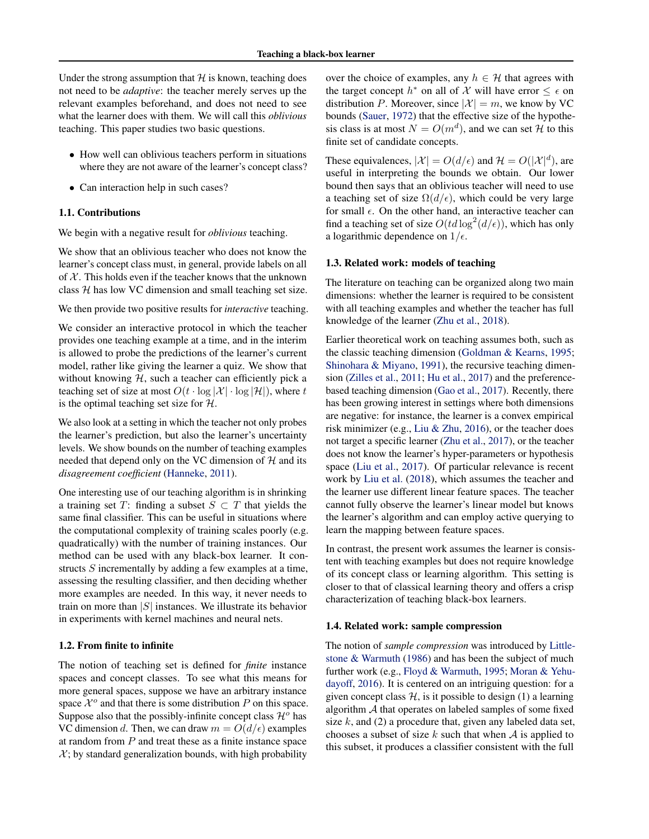Under the strong assumption that  $H$  is known, teaching does not need to be *adaptive*: the teacher merely serves up the relevant examples beforehand, and does not need to see what the learner does with them. We will call this *oblivious* teaching. This paper studies two basic questions.

- How well can oblivious teachers perform in situations where they are not aware of the learner's concept class?
- Can interaction help in such cases?

### 1.1. Contributions

We begin with a negative result for *oblivious* teaching.

We show that an oblivious teacher who does not know the learner's concept class must, in general, provide labels on all of  $X$ . This holds even if the teacher knows that the unknown class  $H$  has low VC dimension and small teaching set size.

We then provide two positive results for *interactive* teaching.

We consider an interactive protocol in which the teacher provides one teaching example at a time, and in the interim is allowed to probe the predictions of the learner's current model, rather like giving the learner a quiz. We show that without knowing  $H$ , such a teacher can efficiently pick a teaching set of size at most  $O(t \cdot \log |\mathcal{X}| \cdot \log |\mathcal{H}|)$ , where t is the optimal teaching set size for  $H$ .

We also look at a setting in which the teacher not only probes the learner's prediction, but also the learner's uncertainty levels. We show bounds on the number of teaching examples needed that depend only on the VC dimension of  $H$  and its *disagreement coefficient* [\(Hanneke,](#page-8-0) [2011\)](#page-8-0).

One interesting use of our teaching algorithm is in shrinking a training set T: finding a subset  $S \subset T$  that yields the same final classifier. This can be useful in situations where the computational complexity of training scales poorly (e.g. quadratically) with the number of training instances. Our method can be used with any black-box learner. It constructs S incrementally by adding a few examples at a time, assessing the resulting classifier, and then deciding whether more examples are needed. In this way, it never needs to train on more than  $|S|$  instances. We illustrate its behavior in experiments with kernel machines and neural nets.

#### 1.2. From finite to infinite

The notion of teaching set is defined for *finite* instance spaces and concept classes. To see what this means for more general spaces, suppose we have an arbitrary instance space  $\mathcal{X}^o$  and that there is some distribution P on this space. Suppose also that the possibly-infinite concept class  $\mathcal{H}^o$  has VC dimension d. Then, we can draw  $m = O(d/\epsilon)$  examples at random from  $P$  and treat these as a finite instance space  $X$ ; by standard generalization bounds, with high probability

over the choice of examples, any  $h \in \mathcal{H}$  that agrees with the target concept  $h^*$  on all of X will have error  $\leq \epsilon$  on distribution P. Moreover, since  $|\mathcal{X}| = m$ , we know by VC bounds [\(Sauer,](#page-8-0) [1972\)](#page-8-0) that the effective size of the hypothesis class is at most  $N = O(m^d)$ , and we can set H to this finite set of candidate concepts.

These equivalences,  $|\mathcal{X}| = O(d/\epsilon)$  and  $\mathcal{H} = O(|\mathcal{X}|^d)$ , are useful in interpreting the bounds we obtain. Our lower bound then says that an oblivious teacher will need to use a teaching set of size  $\Omega(d/\epsilon)$ , which could be very large for small  $\epsilon$ . On the other hand, an interactive teacher can find a teaching set of size  $O(t d \log^2(d/\epsilon))$ , which has only a logarithmic dependence on  $1/\epsilon$ .

### 1.3. Related work: models of teaching

The literature on teaching can be organized along two main dimensions: whether the learner is required to be consistent with all teaching examples and whether the teacher has full knowledge of the learner [\(Zhu et al.,](#page-8-0) [2018\)](#page-8-0).

Earlier theoretical work on teaching assumes both, such as the classic teaching dimension [\(Goldman & Kearns,](#page-8-0) [1995;](#page-8-0) [Shinohara & Miyano,](#page-8-0) [1991\)](#page-8-0), the recursive teaching dimension [\(Zilles et al.,](#page-8-0) [2011;](#page-8-0) [Hu et al.,](#page-8-0) [2017\)](#page-8-0) and the preferencebased teaching dimension [\(Gao et al.,](#page-8-0) [2017\)](#page-8-0). Recently, there has been growing interest in settings where both dimensions are negative: for instance, the learner is a convex empirical risk minimizer (e.g., [Liu & Zhu,](#page-8-0) [2016\)](#page-8-0), or the teacher does not target a specific learner [\(Zhu et al.,](#page-8-0) [2017\)](#page-8-0), or the teacher does not know the learner's hyper-parameters or hypothesis space [\(Liu et al.,](#page-8-0) [2017\)](#page-8-0). Of particular relevance is recent work by [Liu et al.](#page-8-0) [\(2018\)](#page-8-0), which assumes the teacher and the learner use different linear feature spaces. The teacher cannot fully observe the learner's linear model but knows the learner's algorithm and can employ active querying to learn the mapping between feature spaces.

In contrast, the present work assumes the learner is consistent with teaching examples but does not require knowledge of its concept class or learning algorithm. This setting is closer to that of classical learning theory and offers a crisp characterization of teaching black-box learners.

#### 1.4. Related work: sample compression

The notion of *sample compression* was introduced by [Little](#page-8-0)[stone & Warmuth](#page-8-0) [\(1986\)](#page-8-0) and has been the subject of much further work (e.g., [Floyd & Warmuth,](#page-8-0) [1995;](#page-8-0) [Moran & Yehu](#page-8-0)[dayoff,](#page-8-0) [2016\)](#page-8-0). It is centered on an intriguing question: for a given concept class  $H$ , is it possible to design (1) a learning algorithm A that operates on labeled samples of some fixed size  $k$ , and (2) a procedure that, given any labeled data set, chooses a subset of size  $k$  such that when  $A$  is applied to this subset, it produces a classifier consistent with the full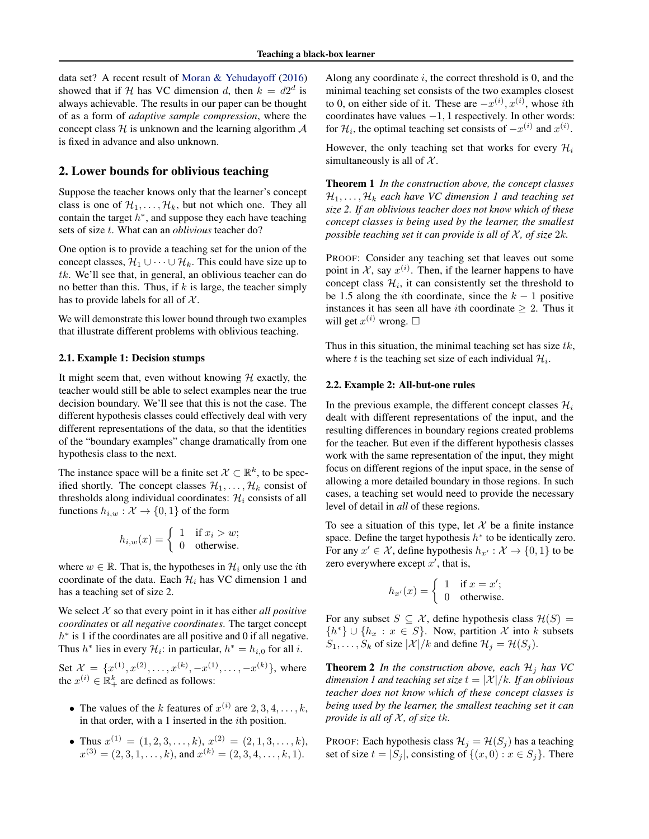<span id="page-2-0"></span>data set? A recent result of [Moran & Yehudayoff](#page-8-0) [\(2016\)](#page-8-0) showed that if H has VC dimension d, then  $k = d2^d$  is always achievable. The results in our paper can be thought of as a form of *adaptive sample compression*, where the concept class  $H$  is unknown and the learning algorithm  $A$ is fixed in advance and also unknown.

### 2. Lower bounds for oblivious teaching

Suppose the teacher knows only that the learner's concept class is one of  $\mathcal{H}_1, \ldots, \mathcal{H}_k$ , but not which one. They all contain the target  $h^*$ , and suppose they each have teaching sets of size t. What can an *oblivious* teacher do?

One option is to provide a teaching set for the union of the concept classes,  $\mathcal{H}_1 \cup \cdots \cup \mathcal{H}_k$ . This could have size up to tk. We'll see that, in general, an oblivious teacher can do no better than this. Thus, if  $k$  is large, the teacher simply has to provide labels for all of  $X$ .

We will demonstrate this lower bound through two examples that illustrate different problems with oblivious teaching.

#### 2.1. Example 1: Decision stumps

It might seem that, even without knowing  $H$  exactly, the teacher would still be able to select examples near the true decision boundary. We'll see that this is not the case. The different hypothesis classes could effectively deal with very different representations of the data, so that the identities of the "boundary examples" change dramatically from one hypothesis class to the next.

The instance space will be a finite set  $\mathcal{X} \subset \mathbb{R}^k$ , to be specified shortly. The concept classes  $\mathcal{H}_1, \ldots, \mathcal{H}_k$  consist of thresholds along individual coordinates:  $\mathcal{H}_i$  consists of all functions  $h_{i,w}: \mathcal{X} \to \{0,1\}$  of the form

$$
h_{i,w}(x) = \begin{cases} 1 & \text{if } x_i > w; \\ 0 & \text{otherwise.} \end{cases}
$$

where  $w \in \mathbb{R}$ . That is, the hypotheses in  $\mathcal{H}_i$  only use the *i*th coordinate of the data. Each  $\mathcal{H}_i$  has VC dimension 1 and has a teaching set of size 2.

We select  $X$  so that every point in it has either *all positive coordinates* or *all negative coordinates*. The target concept  $h^*$  is 1 if the coordinates are all positive and 0 if all negative. Thus  $h^*$  lies in every  $\mathcal{H}_i$ : in particular,  $h^* = h_{i,0}$  for all i.

Set  $\mathcal{X} = \{x^{(1)}, x^{(2)}, \dots, x^{(k)}, -x^{(1)}, \dots, -x^{(k)}\}$ , where the  $x^{(i)} \in \mathbb{R}_+^k$  are defined as follows:

- The values of the k features of  $x^{(i)}$  are  $2, 3, 4, \ldots, k$ , in that order, with a 1 inserted in the ith position.
- Thus  $x^{(1)} = (1, 2, 3, \ldots, k), x^{(2)} = (2, 1, 3, \ldots, k),$  $x^{(3)} = (2, 3, 1, \ldots, k)$ , and  $x^{(k)} = (2, 3, 4, \ldots, k, 1)$ .

Along any coordinate  $i$ , the correct threshold is 0, and the minimal teaching set consists of the two examples closest to 0, on either side of it. These are  $-x^{(i)}$ ,  $x^{(i)}$ , whose *i*th coordinates have values −1, 1 respectively. In other words: for  $\mathcal{H}_i$ , the optimal teaching set consists of  $-x^{(i)}$  and  $x^{(i)}$ .

However, the only teaching set that works for every  $\mathcal{H}_i$ simultaneously is all of  $X$ .

Theorem 1 *In the construction above, the concept classes*  $\mathcal{H}_1, \ldots, \mathcal{H}_k$  each have VC dimension 1 and teaching set *size 2. If an oblivious teacher does not know which of these concept classes is being used by the learner, the smallest possible teaching set it can provide is all of*  $\mathcal{X}$ *, of size*  $2k$ *.* 

PROOF: Consider any teaching set that leaves out some point in X, say  $x^{(i)}$ . Then, if the learner happens to have concept class  $\mathcal{H}_i$ , it can consistently set the threshold to be 1.5 along the *i*th coordinate, since the  $k - 1$  positive instances it has seen all have *i*th coordinate  $\geq 2$ . Thus it will get  $x^{(i)}$  wrong.  $\square$ 

Thus in this situation, the minimal teaching set has size  $tk$ , where t is the teaching set size of each individual  $\mathcal{H}_i$ .

#### 2.2. Example 2: All-but-one rules

In the previous example, the different concept classes  $\mathcal{H}_i$ dealt with different representations of the input, and the resulting differences in boundary regions created problems for the teacher. But even if the different hypothesis classes work with the same representation of the input, they might focus on different regions of the input space, in the sense of allowing a more detailed boundary in those regions. In such cases, a teaching set would need to provide the necessary level of detail in *all* of these regions.

To see a situation of this type, let  $X$  be a finite instance space. Define the target hypothesis  $h^*$  to be identically zero. For any  $x' \in \mathcal{X}$ , define hypothesis  $h_{x'} : \mathcal{X} \to \{0, 1\}$  to be zero everywhere except  $x'$ , that is,

$$
h_{x'}(x) = \begin{cases} 1 & \text{if } x = x'; \\ 0 & \text{otherwise.} \end{cases}
$$

For any subset  $S \subseteq \mathcal{X}$ , define hypothesis class  $\mathcal{H}(S) =$  $\{h^*\}\cup\{h_x : x \in S\}$ . Now, partition X into k subsets  $S_1, \ldots, S_k$  of size  $|\mathcal{X}|/k$  and define  $\mathcal{H}_j = \mathcal{H}(S_j)$ .

**Theorem 2** *In the construction above, each*  $\mathcal{H}_j$  *has VC dimension 1 and teaching set size*  $t = |\mathcal{X}|/k$ *. If an oblivious teacher does not know which of these concept classes is being used by the learner, the smallest teaching set it can provide is all of*  $X$ *, of size tk.* 

PROOF: Each hypothesis class  $\mathcal{H}_i = \mathcal{H}(S_i)$  has a teaching set of size  $t = |S_i|$ , consisting of  $\{(x, 0) : x \in S_i\}$ . There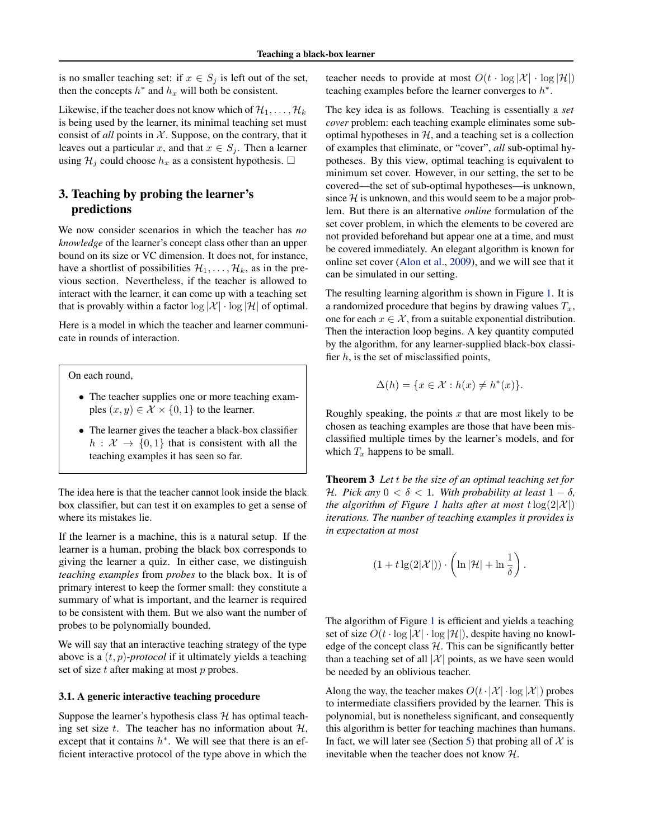<span id="page-3-0"></span>is no smaller teaching set: if  $x \in S_j$  is left out of the set, then the concepts  $h^*$  and  $h_x$  will both be consistent.

Likewise, if the teacher does not know which of  $\mathcal{H}_1, \ldots, \mathcal{H}_k$ is being used by the learner, its minimal teaching set must consist of *all* points in  $X$ . Suppose, on the contrary, that it leaves out a particular x, and that  $x \in S_i$ . Then a learner using  $\mathcal{H}_i$  could choose  $h_x$  as a consistent hypothesis.  $\Box$ 

# 3. Teaching by probing the learner's predictions

We now consider scenarios in which the teacher has *no knowledge* of the learner's concept class other than an upper bound on its size or VC dimension. It does not, for instance, have a shortlist of possibilities  $\mathcal{H}_1, \ldots, \mathcal{H}_k$ , as in the previous section. Nevertheless, if the teacher is allowed to interact with the learner, it can come up with a teaching set that is provably within a factor  $\log |\mathcal{X}| \cdot \log |\mathcal{H}|$  of optimal.

Here is a model in which the teacher and learner communicate in rounds of interaction.

On each round,

- The teacher supplies one or more teaching examples  $(x, y) \in \mathcal{X} \times \{0, 1\}$  to the learner.
- The learner gives the teacher a black-box classifier  $h: \mathcal{X} \rightarrow \{0,1\}$  that is consistent with all the teaching examples it has seen so far.

The idea here is that the teacher cannot look inside the black box classifier, but can test it on examples to get a sense of where its mistakes lie.

If the learner is a machine, this is a natural setup. If the learner is a human, probing the black box corresponds to giving the learner a quiz. In either case, we distinguish *teaching examples* from *probes* to the black box. It is of primary interest to keep the former small: they constitute a summary of what is important, and the learner is required to be consistent with them. But we also want the number of probes to be polynomially bounded.

We will say that an interactive teaching strategy of the type above is a (t, p)*-protocol* if it ultimately yields a teaching set of size  $t$  after making at most  $p$  probes.

#### 3.1. A generic interactive teaching procedure

Suppose the learner's hypothesis class  $H$  has optimal teaching set size  $t$ . The teacher has no information about  $H$ , except that it contains  $h^*$ . We will see that there is an efficient interactive protocol of the type above in which the

teacher needs to provide at most  $O(t \cdot \log |\mathcal{X}| \cdot \log |\mathcal{H}|)$ teaching examples before the learner converges to  $h^*$ .

The key idea is as follows. Teaching is essentially a *set cover* problem: each teaching example eliminates some suboptimal hypotheses in  $H$ , and a teaching set is a collection of examples that eliminate, or "cover", *all* sub-optimal hypotheses. By this view, optimal teaching is equivalent to minimum set cover. However, in our setting, the set to be covered—the set of sub-optimal hypotheses—is unknown, since  $H$  is unknown, and this would seem to be a major problem. But there is an alternative *online* formulation of the set cover problem, in which the elements to be covered are not provided beforehand but appear one at a time, and must be covered immediately. An elegant algorithm is known for online set cover [\(Alon et al.,](#page-8-0) [2009\)](#page-8-0), and we will see that it can be simulated in our setting.

The resulting learning algorithm is shown in Figure [1.](#page-4-0) It is a randomized procedure that begins by drawing values  $T_x$ , one for each  $x \in \mathcal{X}$ , from a suitable exponential distribution. Then the interaction loop begins. A key quantity computed by the algorithm, for any learner-supplied black-box classifier  $h$ , is the set of misclassified points,

$$
\Delta(h) = \{ x \in \mathcal{X} : h(x) \neq h^*(x) \}.
$$

Roughly speaking, the points  $x$  that are most likely to be chosen as teaching examples are those that have been misclassified multiple times by the learner's models, and for which  $T_x$  happens to be small.

Theorem 3 *Let* t *be the size of an optimal teaching set for* H. Pick any  $0 < \delta < 1$ . With probability at least  $1 - \delta$ , *the algorithm of Figure [1](#page-4-0) halts after at most*  $t \log(2|\mathcal{X}|)$ *iterations. The number of teaching examples it provides is in expectation at most*

$$
(1 + t \lg(2|\mathcal{X}|)) \cdot \left(\ln|\mathcal{H}| + \ln\frac{1}{\delta}\right)
$$

.

The algorithm of Figure [1](#page-4-0) is efficient and yields a teaching set of size  $O(t \cdot \log |\mathcal{X}| \cdot \log |\mathcal{H}|)$ , despite having no knowledge of the concept class  $H$ . This can be significantly better than a teaching set of all  $|\mathcal{X}|$  points, as we have seen would be needed by an oblivious teacher.

Along the way, the teacher makes  $O(t \cdot |\mathcal{X}| \cdot \log |\mathcal{X}|)$  probes to intermediate classifiers provided by the learner. This is polynomial, but is nonetheless significant, and consequently this algorithm is better for teaching machines than humans. In fact, we will later see (Section [5\)](#page-6-0) that probing all of  $X$  is inevitable when the teacher does not know H.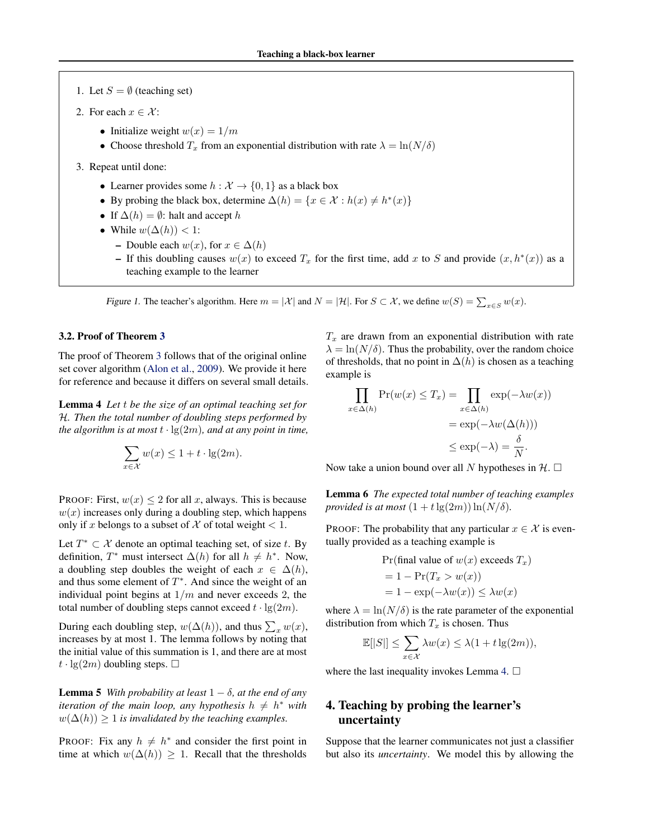- <span id="page-4-0"></span>1. Let  $S = \emptyset$  (teaching set)
- 2. For each  $x \in \mathcal{X}$ :
	- Initialize weight  $w(x) = 1/m$
	- Choose threshold  $T_x$  from an exponential distribution with rate  $\lambda = \ln(N/\delta)$
- 3. Repeat until done:
	- Learner provides some  $h : \mathcal{X} \to \{0, 1\}$  as a black box
	- By probing the black box, determine  $\Delta(h) = \{x \in \mathcal{X} : h(x) \neq h^*(x)\}\$
	- If  $\Delta(h) = \emptyset$ : halt and accept h
	- While  $w(\Delta(h)) < 1$ :
		- Double each  $w(x)$ , for  $x \in \Delta(h)$
		- If this doubling causes  $w(x)$  to exceed  $T_x$  for the first time, add x to S and provide  $(x, h^*(x))$  as a teaching example to the learner

Figure 1. The teacher's algorithm. Here  $m = |\mathcal{X}|$  and  $N = |\mathcal{H}|$ . For  $S \subset \mathcal{X}$ , we define  $w(S) = \sum_{x \in S} w(x)$ .

#### 3.2. Proof of Theorem [3](#page-3-0)

The proof of Theorem [3](#page-3-0) follows that of the original online set cover algorithm [\(Alon et al.,](#page-8-0) [2009\)](#page-8-0). We provide it here for reference and because it differs on several small details.

Lemma 4 *Let* t *be the size of an optimal teaching set for* H*. Then the total number of doubling steps performed by the algorithm is at most*  $t \cdot \lg(2m)$ *, and at any point in time,* 

$$
\sum_{x \in \mathcal{X}} w(x) \le 1 + t \cdot \lg(2m).
$$

PROOF: First,  $w(x) \le 2$  for all x, always. This is because  $w(x)$  increases only during a doubling step, which happens only if x belongs to a subset of X of total weight  $< 1$ .

Let  $T^* \subset \mathcal{X}$  denote an optimal teaching set, of size t. By definition,  $T^*$  must intersect  $\Delta(h)$  for all  $h \neq h^*$ . Now, a doubling step doubles the weight of each  $x \in \Delta(h)$ , and thus some element of  $T^*$ . And since the weight of an individual point begins at  $1/m$  and never exceeds 2, the total number of doubling steps cannot exceed  $t \cdot \lg(2m)$ .

During each doubling step,  $w(\Delta(h))$ , and thus  $\sum_x w(x)$ , increases by at most 1. The lemma follows by noting that the initial value of this summation is 1, and there are at most  $t \cdot \lg(2m)$  doubling steps.  $\Box$ 

**Lemma 5** *With probability at least*  $1 - \delta$ *, at the end of any iteration of the main loop, any hypothesis*  $h \neq h^*$  *with*  $w(\Delta(h)) > 1$  *is invalidated by the teaching examples.* 

PROOF: Fix any  $h \neq h^*$  and consider the first point in time at which  $w(\Delta(h)) \geq 1$ . Recall that the thresholds  $T_x$  are drawn from an exponential distribution with rate  $\lambda = \ln(N/\delta)$ . Thus the probability, over the random choice of thresholds, that no point in  $\Delta(h)$  is chosen as a teaching example is

$$
\prod_{x \in \Delta(h)} \Pr(w(x) \le T_x) = \prod_{x \in \Delta(h)} \exp(-\lambda w(x))
$$

$$
= \exp(-\lambda w(\Delta(h)))
$$

$$
\le \exp(-\lambda) = \frac{\delta}{N}.
$$

Now take a union bound over all N hypotheses in  $\mathcal{H}$ .  $\square$ 

Lemma 6 *The expected total number of teaching examples provided is at most*  $(1 + t \lg(2m)) \ln(N/\delta)$ *.* 

PROOF: The probability that any particular  $x \in \mathcal{X}$  is eventually provided as a teaching example is

Pr(final value of 
$$
w(x)
$$
 exceeds  $T_x$ )  
= 1 - Pr( $T_x > w(x)$ )  
= 1 - exp( $-\lambda w(x)$ )  $\leq \lambda w(x)$ 

where  $\lambda = \ln(N/\delta)$  is the rate parameter of the exponential distribution from which  $T_x$  is chosen. Thus

$$
\mathbb{E}[|S|] \leq \sum_{x \in \mathcal{X}} \lambda w(x) \leq \lambda (1 + t \lg(2m)),
$$

where the last inequality invokes Lemma 4.  $\Box$ 

# 4. Teaching by probing the learner's uncertainty

Suppose that the learner communicates not just a classifier but also its *uncertainty*. We model this by allowing the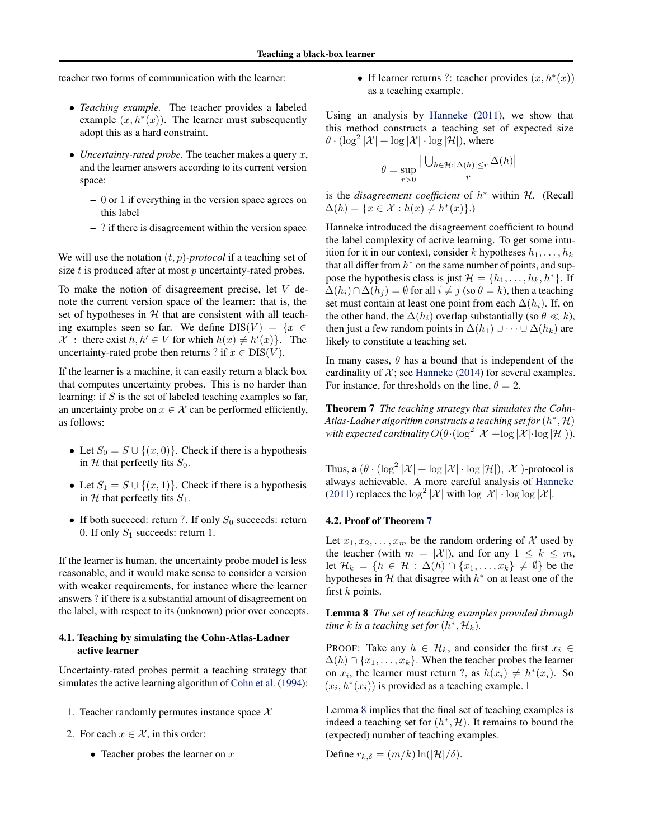<span id="page-5-0"></span>teacher two forms of communication with the learner:

- *Teaching example.* The teacher provides a labeled example  $(x, h^*(x))$ . The learner must subsequently adopt this as a hard constraint.
- *Uncertainty-rated probe.* The teacher makes a query x, and the learner answers according to its current version space:
	- 0 or 1 if everything in the version space agrees on this label
	- ? if there is disagreement within the version space

We will use the notation  $(t, p)$ *-protocol* if a teaching set of size  $t$  is produced after at most  $p$  uncertainty-rated probes.

To make the notion of disagreement precise, let V denote the current version space of the learner: that is, the set of hypotheses in  $H$  that are consistent with all teaching examples seen so far. We define  $DIS(V) = \{x \in$ X : there exist  $h, h' \in V$  for which  $h(x) \neq h'(x)$ . The uncertainty-rated probe then returns ? if  $x \in DIS(V)$ .

If the learner is a machine, it can easily return a black box that computes uncertainty probes. This is no harder than learning: if  $S$  is the set of labeled teaching examples so far, an uncertainty probe on  $x \in \mathcal{X}$  can be performed efficiently, as follows:

- Let  $S_0 = S \cup \{(x, 0)\}\)$ . Check if there is a hypothesis in H that perfectly fits  $S_0$ .
- Let  $S_1 = S \cup \{(x, 1)\}\)$ . Check if there is a hypothesis in H that perfectly fits  $S_1$ .
- If both succeed: return ?. If only  $S_0$  succeeds: return 0. If only  $S_1$  succeeds: return 1.

If the learner is human, the uncertainty probe model is less reasonable, and it would make sense to consider a version with weaker requirements, for instance where the learner answers ? if there is a substantial amount of disagreement on the label, with respect to its (unknown) prior over concepts.

### 4.1. Teaching by simulating the Cohn-Atlas-Ladner active learner

Uncertainty-rated probes permit a teaching strategy that simulates the active learning algorithm of [Cohn et al.](#page-8-0) [\(1994\)](#page-8-0):

- 1. Teacher randomly permutes instance space  $X$
- 2. For each  $x \in \mathcal{X}$ , in this order:
	- Teacher probes the learner on  $x$

• If learner returns ?: teacher provides  $(x, h^*(x))$ as a teaching example.

Using an analysis by [Hanneke](#page-8-0) [\(2011\)](#page-8-0), we show that this method constructs a teaching set of expected size  $\theta \cdot (\log^2 |\mathcal{X}| + \log |\mathcal{X}| \cdot \log |\mathcal{H}|)$ , where

$$
\theta = \sup_{r>0} \frac{\left| \bigcup_{h \in \mathcal{H}: |\Delta(h)| \le r} \Delta(h) \right|}{r}
$$

is the *disagreement coefficient* of  $h^*$  within  $H$ . (Recall  $\Delta(h) = \{x \in \mathcal{X} : h(x) \neq h^*(x)\}.$ 

Hanneke introduced the disagreement coefficient to bound the label complexity of active learning. To get some intuition for it in our context, consider k hypotheses  $h_1, \ldots, h_k$ that all differ from  $h^*$  on the same number of points, and suppose the hypothesis class is just  $\mathcal{H} = \{h_1, \ldots, h_k, h^*\}$ . If  $\Delta(h_i) \cap \Delta(h_i) = \emptyset$  for all  $i \neq j$  (so  $\theta = k$ ), then a teaching set must contain at least one point from each  $\Delta(h_i)$ . If, on the other hand, the  $\Delta(h_i)$  overlap substantially (so  $\theta \ll k$ ), then just a few random points in  $\Delta(h_1) \cup \cdots \cup \Delta(h_k)$  are likely to constitute a teaching set.

In many cases,  $\theta$  has a bound that is independent of the cardinality of  $\mathcal{X}$ ; see [Hanneke](#page-8-0) [\(2014\)](#page-8-0) for several examples. For instance, for thresholds on the line,  $\theta = 2$ .

Theorem 7 *The teaching strategy that simulates the Cohn-*Atlas-Ladner algorithm constructs a teaching set for  $(h^*,\mathcal{H})$ with expected cardinality  $O(\theta \cdot (\log^2 |\mathcal{X}| + \log |\mathcal{X}| \cdot \log |\mathcal{H}|)).$ 

Thus, a  $(\theta \cdot (\log^2 |\mathcal{X}| + \log |\mathcal{X}| \cdot \log |\mathcal{H}|), |\mathcal{X}|)$ -protocol is always achievable. A more careful analysis of [Hanneke](#page-8-0) [\(2011\)](#page-8-0) replaces the  $\log^2 |\mathcal{X}|$  with  $\log |\mathcal{X}| \cdot \log \log |\mathcal{X}|$ .

### 4.2. Proof of Theorem 7

Let  $x_1, x_2, \ldots, x_m$  be the random ordering of X used by the teacher (with  $m = |\mathcal{X}|$ ), and for any  $1 \leq k \leq m$ , let  $\mathcal{H}_k = \{h \in \mathcal{H} : \Delta(h) \cap \{x_1, \ldots, x_k\} \neq \emptyset\}$  be the hypotheses in  $H$  that disagree with  $h^*$  on at least one of the first  $k$  points.

Lemma 8 *The set of teaching examples provided through time*  $k$  *is a teaching set for*  $(h^*, H_k)$ *.* 

PROOF: Take any  $h \in \mathcal{H}_k$ , and consider the first  $x_i \in$  $\Delta(h) \cap \{x_1, \ldots, x_k\}$ . When the teacher probes the learner on  $x_i$ , the learner must return ?, as  $h(x_i) \neq h^*(x_i)$ . So  $(x_i, h^*(x_i))$  is provided as a teaching example.  $\Box$ 

Lemma 8 implies that the final set of teaching examples is indeed a teaching set for  $(h^*, \mathcal{H})$ . It remains to bound the (expected) number of teaching examples.

Define 
$$
r_{k,\delta} = (m/k) \ln(|\mathcal{H}|/\delta)
$$
.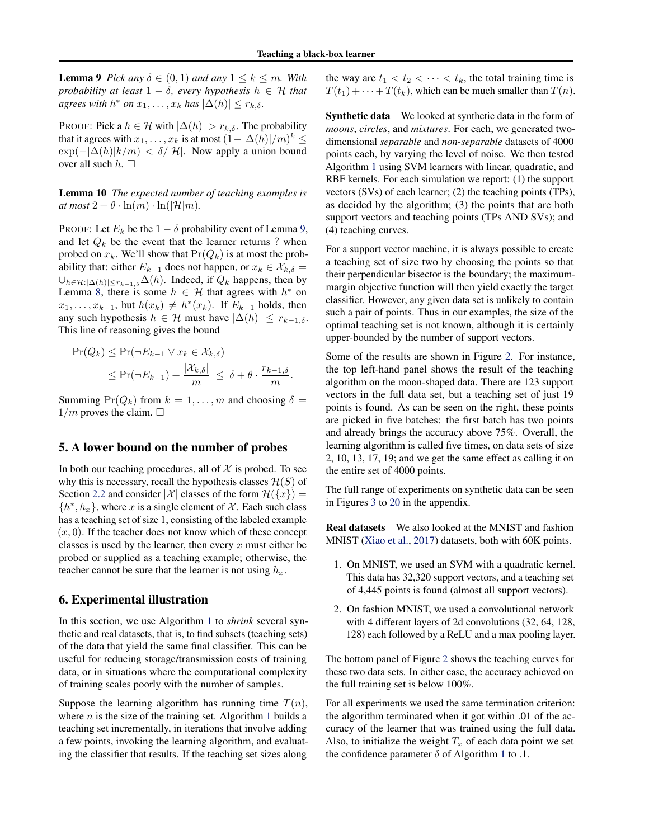<span id="page-6-0"></span>**Lemma 9** *Pick any*  $\delta \in (0,1)$  *and any*  $1 \leq k \leq m$ *. With probability at least*  $1 - \delta$ *, every hypothesis*  $h \in \mathcal{H}$  *that agrees with*  $h^*$  *on*  $x_1, \ldots, x_k$  *has*  $|\Delta(h)| \le r_{k,\delta}$ *.* 

PROOF: Pick a  $h \in \mathcal{H}$  with  $|\Delta(h)| > r_{k,\delta}$ . The probability that it agrees with  $x_1, \ldots, x_k$  is at most  $(1 - |\Delta(h)|/m)^k \le$  $\exp(-|\Delta(h)|k/m) < \delta/|\mathcal{H}|$ . Now apply a union bound over all such  $h.$   $\Box$ 

Lemma 10 *The expected number of teaching examples is*  $at most 2 + \theta \cdot \ln(m) \cdot \ln(|\mathcal{H}|m)$ .

PROOF: Let  $E_k$  be the  $1 - \delta$  probability event of Lemma [9,](#page-5-0) and let  $Q_k$  be the event that the learner returns ? when probed on  $x_k$ . We'll show that  $Pr(Q_k)$  is at most the probability that: either  $E_{k-1}$  does not happen, or  $x_k \in \mathcal{X}_{k,\delta}$  =  $\bigcup_{h \in \mathcal{H}: |\Delta(h)| \le r_{k-1,\delta}} \Delta(h)$ . Indeed, if  $Q_k$  happens, then by Lemma [8,](#page-5-0) there is some  $h \in \mathcal{H}$  that agrees with  $h^*$  on  $x_1, \ldots, x_{k-1}$ , but  $h(x_k) \neq h^*(x_k)$ . If  $E_{k-1}$  holds, then any such hypothesis  $h \in \mathcal{H}$  must have  $|\Delta(h)| \leq r_{k-1,\delta}$ . This line of reasoning gives the bound

$$
\begin{aligned} \Pr(Q_k) &\leq \Pr(\neg E_{k-1} \lor x_k \in \mathcal{X}_{k,\delta}) \\ &\leq \Pr(\neg E_{k-1}) + \frac{|\mathcal{X}_{k,\delta}|}{m} \leq \delta + \theta \cdot \frac{r_{k-1,\delta}}{m} .\end{aligned}
$$

Summing  $Pr(Q_k)$  from  $k = 1, ..., m$  and choosing  $\delta =$  $1/m$  proves the claim.  $\Box$ 

## 5. A lower bound on the number of probes

In both our teaching procedures, all of  $X$  is probed. To see why this is necessary, recall the hypothesis classes  $\mathcal{H}(S)$  of Section [2.2](#page-2-0) and consider  $|\mathcal{X}|$  classes of the form  $\mathcal{H}(\lbrace x \rbrace)$  =  $\{h^*, h_x\}$ , where x is a single element of X. Each such class has a teaching set of size 1, consisting of the labeled example  $(x, 0)$ . If the teacher does not know which of these concept classes is used by the learner, then every x must either be probed or supplied as a teaching example; otherwise, the teacher cannot be sure that the learner is not using  $h_x$ .

## 6. Experimental illustration

In this section, we use Algorithm [1](#page-4-0) to *shrink* several synthetic and real datasets, that is, to find subsets (teaching sets) of the data that yield the same final classifier. This can be useful for reducing storage/transmission costs of training data, or in situations where the computational complexity of training scales poorly with the number of samples.

Suppose the learning algorithm has running time  $T(n)$ , where  $n$  is the size of the training set. Algorithm [1](#page-4-0) builds a teaching set incrementally, in iterations that involve adding a few points, invoking the learning algorithm, and evaluating the classifier that results. If the teaching set sizes along

the way are  $t_1 < t_2 < \cdots < t_k$ , the total training time is  $T(t_1) + \cdots + T(t_k)$ , which can be much smaller than  $T(n)$ .

Synthetic data We looked at synthetic data in the form of *moons*, *circles*, and *mixtures*. For each, we generated twodimensional *separable* and *non-separable* datasets of 4000 points each, by varying the level of noise. We then tested Algorithm [1](#page-4-0) using SVM learners with linear, quadratic, and RBF kernels. For each simulation we report: (1) the support vectors (SVs) of each learner; (2) the teaching points (TPs), as decided by the algorithm; (3) the points that are both support vectors and teaching points (TPs AND SVs); and (4) teaching curves.

For a support vector machine, it is always possible to create a teaching set of size two by choosing the points so that their perpendicular bisector is the boundary; the maximummargin objective function will then yield exactly the target classifier. However, any given data set is unlikely to contain such a pair of points. Thus in our examples, the size of the optimal teaching set is not known, although it is certainly upper-bounded by the number of support vectors.

Some of the results are shown in Figure [2.](#page-7-0) For instance, the top left-hand panel shows the result of the teaching algorithm on the moon-shaped data. There are 123 support vectors in the full data set, but a teaching set of just 19 points is found. As can be seen on the right, these points are picked in five batches: the first batch has two points and already brings the accuracy above 75%. Overall, the learning algorithm is called five times, on data sets of size 2, 10, 13, 17, 19; and we get the same effect as calling it on the entire set of 4000 points.

The full range of experiments on synthetic data can be seen in Figures [3](#page-0-0) to [20](#page-0-0) in the appendix.

Real datasets We also looked at the MNIST and fashion MNIST [\(Xiao et al.,](#page-8-0) [2017\)](#page-8-0) datasets, both with 60K points.

- 1. On MNIST, we used an SVM with a quadratic kernel. This data has 32,320 support vectors, and a teaching set of 4,445 points is found (almost all support vectors).
- 2. On fashion MNIST, we used a convolutional network with 4 different layers of 2d convolutions (32, 64, 128, 128) each followed by a ReLU and a max pooling layer.

The bottom panel of Figure [2](#page-7-0) shows the teaching curves for these two data sets. In either case, the accuracy achieved on the full training set is below 100%.

For all experiments we used the same termination criterion: the algorithm terminated when it got within .01 of the accuracy of the learner that was trained using the full data. Also, to initialize the weight  $T_x$  of each data point we set the confidence parameter  $\delta$  of Algorithm [1](#page-4-0) to .1.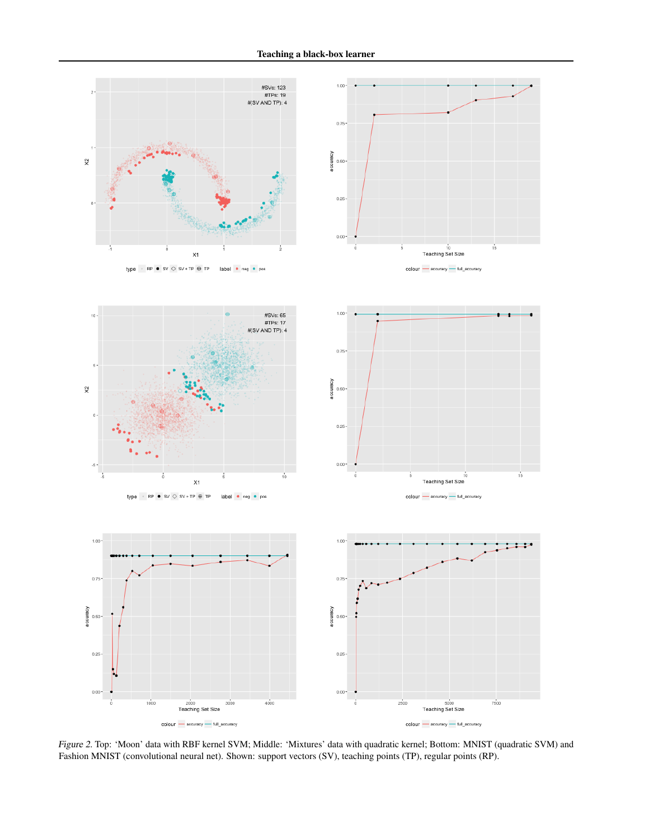$1.00 +$ 

<span id="page-7-0"></span>

type -  $RP \bullet SV \diamondsuit SV * TP \oplus TP$  $label$  $\bullet$  neg  $\bullet$  pos





type - RP  $\bullet$  SV  $\diamond$  SV + TP  $\oplus$  TP label . neg . pos

 $1.00 -$ 

0.75

 $0.50$ 

 $0.25$ 

 $0.00 -$ 

accuracy





Figure 2. Top: 'Moon' data with RBF kernel SVM; Middle: 'Mixtures' data with quadratic kernel; Bottom: MNIST (quadratic SVM) and Fashion MNIST (convolutional neural net). Shown: support vectors (SV), teaching points (TP), regular points (RP).